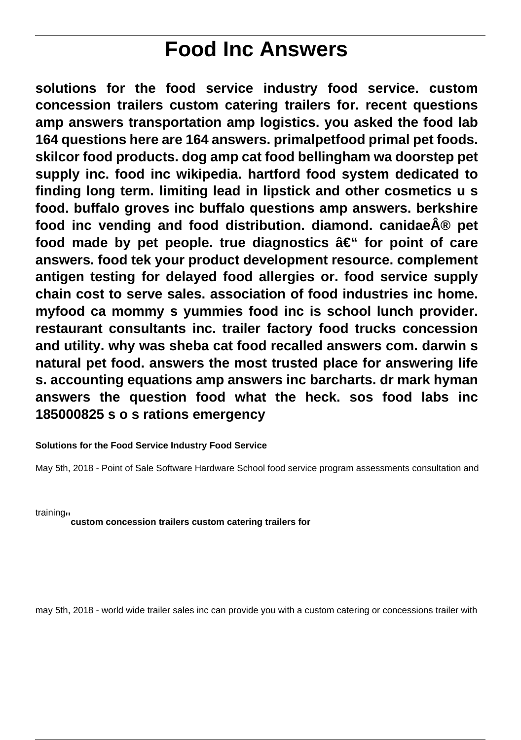# **Food Inc Answers**

**solutions for the food service industry food service. custom concession trailers custom catering trailers for. recent questions amp answers transportation amp logistics. you asked the food lab 164 questions here are 164 answers. primalpetfood primal pet foods. skilcor food products. dog amp cat food bellingham wa doorstep pet supply inc. food inc wikipedia. hartford food system dedicated to finding long term. limiting lead in lipstick and other cosmetics u s food. buffalo groves inc buffalo questions amp answers. berkshire food inc vending and food distribution. diamond. canidae® pet** food made by pet people, true diagnostics  $\hat{a} \in \mathscr{C}$  for point of care **answers. food tek your product development resource. complement antigen testing for delayed food allergies or. food service supply chain cost to serve sales. association of food industries inc home. myfood ca mommy s yummies food inc is school lunch provider. restaurant consultants inc. trailer factory food trucks concession and utility. why was sheba cat food recalled answers com. darwin s natural pet food. answers the most trusted place for answering life s. accounting equations amp answers inc barcharts. dr mark hyman answers the question food what the heck. sos food labs inc 185000825 s o s rations emergency**

#### **Solutions for the Food Service Industry Food Service**

May 5th, 2018 - Point of Sale Software Hardware School food service program assessments consultation and

training''**custom concession trailers custom catering trailers for**

may 5th, 2018 - world wide trailer sales inc can provide you with a custom catering or concessions trailer with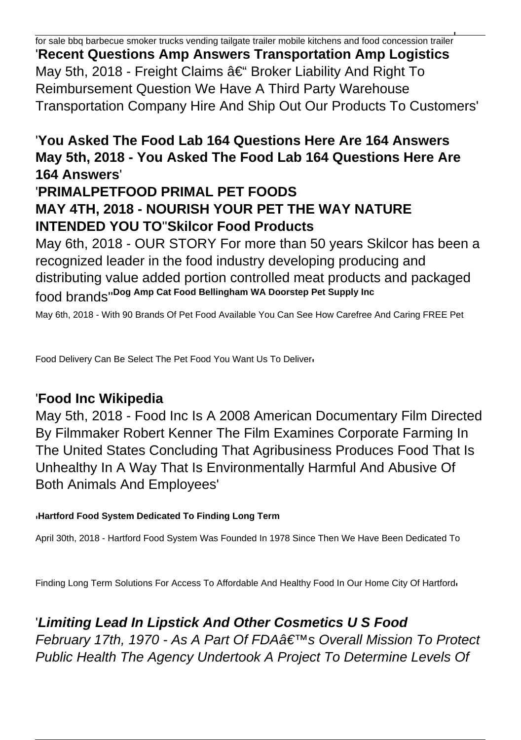for sale bbq barbecue smoker trucks vending tailgate trailer mobile kitchens and food concession trailer' '**Recent Questions Amp Answers Transportation Amp Logistics** May 5th, 2018 - Freight Claims – Broker Liability And Right To Reimbursement Question We Have A Third Party Warehouse Transportation Company Hire And Ship Out Our Products To Customers'

## '**You Asked The Food Lab 164 Questions Here Are 164 Answers May 5th, 2018 - You Asked The Food Lab 164 Questions Here Are 164 Answers**'

## '**PRIMALPETFOOD PRIMAL PET FOODS MAY 4TH, 2018 - NOURISH YOUR PET THE WAY NATURE INTENDED YOU TO**''**Skilcor Food Products**

May 6th, 2018 - OUR STORY For more than 50 years Skilcor has been a recognized leader in the food industry developing producing and distributing value added portion controlled meat products and packaged food brands''**Dog Amp Cat Food Bellingham WA Doorstep Pet Supply Inc**

May 6th, 2018 - With 90 Brands Of Pet Food Available You Can See How Carefree And Caring FREE Pet

Food Delivery Can Be Select The Pet Food You Want Us To Deliver'

#### '**Food Inc Wikipedia**

May 5th, 2018 - Food Inc Is A 2008 American Documentary Film Directed By Filmmaker Robert Kenner The Film Examines Corporate Farming In The United States Concluding That Agribusiness Produces Food That Is Unhealthy In A Way That Is Environmentally Harmful And Abusive Of Both Animals And Employees'

#### '**Hartford Food System Dedicated To Finding Long Term**

April 30th, 2018 - Hartford Food System Was Founded In 1978 Since Then We Have Been Dedicated To

Finding Long Term Solutions For Access To Affordable And Healthy Food In Our Home City Of Hartford,

'**Limiting Lead In Lipstick And Other Cosmetics U S Food** February 17th, 1970 - As A Part Of FDA's Overall Mission To Protect Public Health The Agency Undertook A Project To Determine Levels Of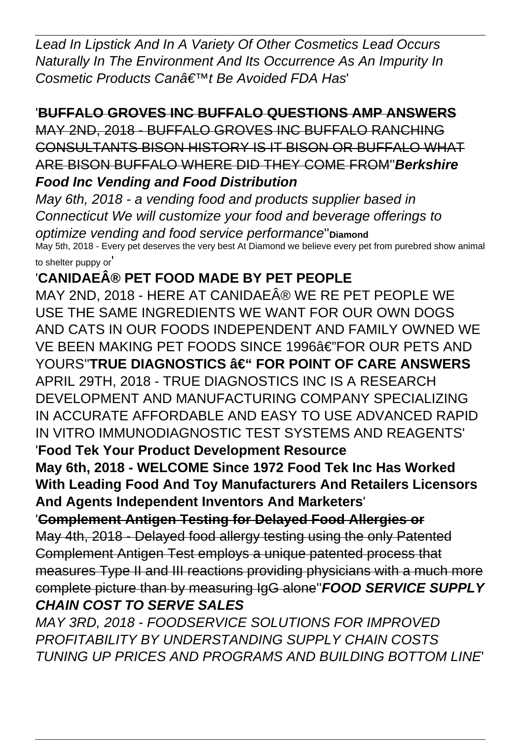Lead In Lipstick And In A Variety Of Other Cosmetics Lead Occurs Naturally In The Environment And Its Occurrence As An Impurity In Cosmetic Products Can†™t Be Avoided FDA Has

#### '**BUFFALO GROVES INC BUFFALO QUESTIONS AMP ANSWERS**

MAY 2ND, 2018 - BUFFALO GROVES INC BUFFALO RANCHING CONSULTANTS BISON HISTORY IS IT BISON OR BUFFALO WHAT ARE BISON BUFFALO WHERE DID THEY COME FROM''**Berkshire Food Inc Vending and Food Distribution**

May 6th, 2018 - a vending food and products supplier based in Connecticut We will customize your food and beverage offerings to optimize vending and food service performance''**Diamond** May 5th, 2018 - Every pet deserves the very best At Diamond we believe every pet from purebred show animal to shelter puppy or'

#### '**CANIDAE® PET FOOD MADE BY PET PEOPLE**

MAY 2ND, 2018 - HERE AT CANIDAE® WE RE PET PEOPLE WE USE THE SAME INGREDIENTS WE WANT FOR OUR OWN DOGS AND CATS IN OUR FOODS INDEPENDENT AND FAMILY OWNED WE VE BEEN MAKING PET FOODS SINCE 1996â€"FOR OUR PETS AND YOURS"**TRUE DIAGNOSTICS**  $\hat{a} \in$ **" FOR POINT OF CARE ANSWERS** APRIL 29TH, 2018 - TRUE DIAGNOSTICS INC IS A RESEARCH DEVELOPMENT AND MANUFACTURING COMPANY SPECIALIZING IN ACCURATE AFFORDABLE AND EASY TO USE ADVANCED RAPID IN VITRO IMMUNODIAGNOSTIC TEST SYSTEMS AND REAGENTS'

'**Food Tek Your Product Development Resource**

**May 6th, 2018 - WELCOME Since 1972 Food Tek Inc Has Worked With Leading Food And Toy Manufacturers And Retailers Licensors And Agents Independent Inventors And Marketers**'

## '**Complement Antigen Testing for Delayed Food Allergies or**

May 4th, 2018 - Delayed food allergy testing using the only Patented Complement Antigen Test employs a unique patented process that measures Type II and III reactions providing physicians with a much more complete picture than by measuring IgG alone''**FOOD SERVICE SUPPLY CHAIN COST TO SERVE SALES**

MAY 3RD, 2018 - FOODSERVICE SOLUTIONS FOR IMPROVED PROFITABILITY BY UNDERSTANDING SUPPLY CHAIN COSTS TUNING UP PRICES AND PROGRAMS AND BUILDING BOTTOM LINE'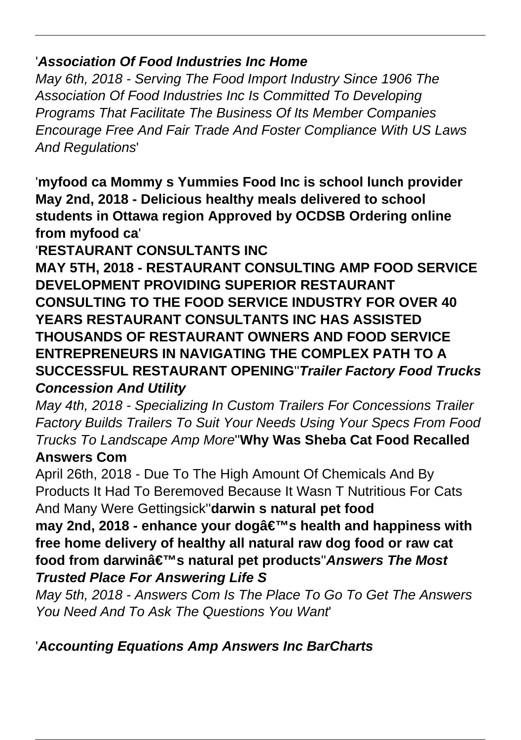#### '**Association Of Food Industries Inc Home**

May 6th, 2018 - Serving The Food Import Industry Since 1906 The Association Of Food Industries Inc Is Committed To Developing Programs That Facilitate The Business Of Its Member Companies Encourage Free And Fair Trade And Foster Compliance With US Laws And Regulations'

'**myfood ca Mommy s Yummies Food Inc is school lunch provider May 2nd, 2018 - Delicious healthy meals delivered to school students in Ottawa region Approved by OCDSB Ordering online from myfood ca**'

'**RESTAURANT CONSULTANTS INC**

**MAY 5TH, 2018 - RESTAURANT CONSULTING AMP FOOD SERVICE DEVELOPMENT PROVIDING SUPERIOR RESTAURANT CONSULTING TO THE FOOD SERVICE INDUSTRY FOR OVER 40 YEARS RESTAURANT CONSULTANTS INC HAS ASSISTED THOUSANDS OF RESTAURANT OWNERS AND FOOD SERVICE ENTREPRENEURS IN NAVIGATING THE COMPLEX PATH TO A SUCCESSFUL RESTAURANT OPENING**''**Trailer Factory Food Trucks Concession And Utility**

May 4th, 2018 - Specializing In Custom Trailers For Concessions Trailer Factory Builds Trailers To Suit Your Needs Using Your Specs From Food Trucks To Landscape Amp More''**Why Was Sheba Cat Food Recalled**

## **Answers Com**

April 26th, 2018 - Due To The High Amount Of Chemicals And By Products It Had To Beremoved Because It Wasn T Nutritious For Cats And Many Were Gettingsick''**darwin s natural pet food**

**may 2nd, 2018 - enhance your dog's health and happiness with free home delivery of healthy all natural raw dog food or raw cat** food from darwinâ€<sup>™</sup>s natural pet products''Answers The Most **Trusted Place For Answering Life S**

May 5th, 2018 - Answers Com Is The Place To Go To Get The Answers You Need And To Ask The Questions You Want'

'**Accounting Equations Amp Answers Inc BarCharts**